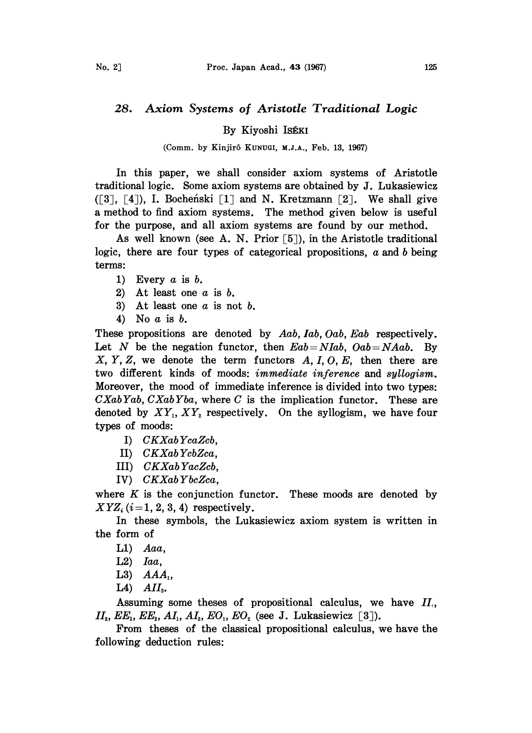## 28. Axiom Systems of Aristotle Traditional Logic

By Kiyoshi ISÉKI

(Comm. by Kinjirô KUNUGI, M.J.A., Feb. 13, 1967)

In this paper, we shall consider axiom systems of Aristotle traditional logic. Some axiom systems are obtained by J. Lukasiewicz  $(5, 3, 4)$ , I. Bochenski  $[1]$  and N. Kretzmann  $[2]$ . We shall give a method to find axiom systems. The method given below is useful for the purpose, and all axiom systems are found by our method.

As well known (see A. N. Prior  $\lceil 5 \rceil$ ), in the Aristotle traditional logic, there are four types of categorical propositions, a and b being terms:

- 1) Every  $a$  is  $b$ .
- 2) At least one  $a$  is  $b$ .
- 3) At least one  $a$  is not  $b$ .
- 4) No a is b.

These propositions are denoted by Aab, Iab, Oab, Eab respectively. Let N be the negation functor, then  $Eab = NIab$ ,  $Oab = NAab$ . By  $X, Y, Z$ , we denote the term functors  $A, I, O, E$ , then there are two different kinds of moods: immediate inference and syllogism. Moreover, the mood of immediate inference is divided into two types:  $CXabYab, CXabYba$ , where C is the implication functor. These are denoted by  $XY_1, XY_2$  respectively. On the syllogism, we have four types of moods:

- I) CKXabYcaZcb,
- II) CKXabYcbZca,
- III) CKXab YacZcb,
- IV) CKXab YbcZca,

where  $K$  is the conjunction functor. These moods are denoted by  $XYZ_i$  (*i*=1, 2, 3, 4) respectively.

In these symbols, the Lukasiewicz axiom system is written in the form of

- $L1)$  Aaa,
- $L2$ ) *Iaa*,
- L3)  $AAA_1$ ,
- $L4$ )  $AII<sub>3</sub>$ .

Assuming some theses of propositional calculus, we have  $II_1$ ,  $II<sub>2</sub>, EE<sub>1</sub>, EE<sub>2</sub>, AI<sub>1</sub>, AI<sub>2</sub>, EO<sub>1</sub>, EO<sub>2</sub> (see J. Lukasiewicz [3]).$ 

From theses of the classical propositional calculus, we have the following deduction rules: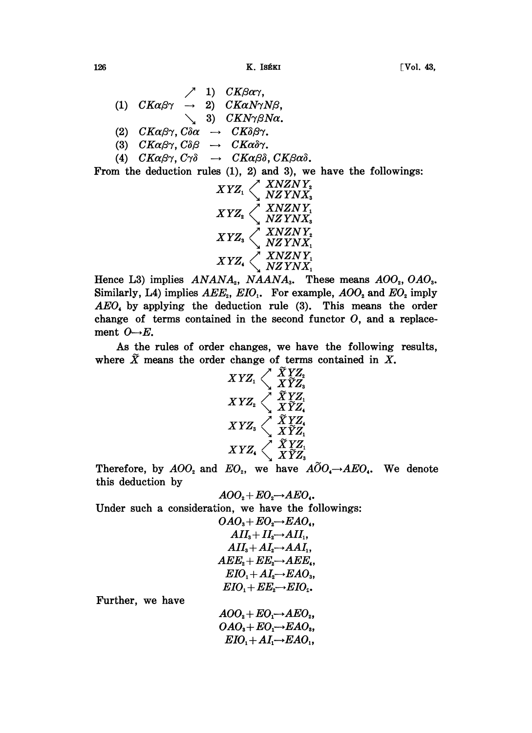$126$  [Vol. 43,

 $\angle$  1) CK $\beta$ a $\gamma$ ,  $(1)$   $CK\alpha\beta\gamma \rightarrow 2)$   $CK\alpha N\gamma N\beta,$ 3)  $CKN\gamma\beta N\alpha$ <br>
(2)  $CK\alpha\beta\gamma$ ,  $C\delta\alpha \rightarrow CK\delta\beta\gamma$ . (3)  $CK\alpha\beta\gamma$ ,  $C\delta\beta \rightarrow CK\alpha\delta\gamma$ . (4)  $CK\alpha\beta\gamma$ ,  $C\gamma\delta \rightarrow CK\alpha\beta\delta$ ,  $CK\beta\alpha\delta$ .

From the deduction rules (I), 2) and 3), we have the followings:



Hence L3) implies  $ANANA_2$ ,  $NAANA_3$ . These means  $AOO_2$ ,  $OAO_3$ . Similarly, L4) implies  $AEE<sub>2</sub>$ ,  $EIO<sub>1</sub>$ . For example,  $AOO<sub>2</sub>$  and  $EO<sub>2</sub>$  imply AEO, by applying the deduction rule (3). This means the order change of terms contained in the second functor  $O$ , and a replacement  $O \rightarrow E$ .

As the rules of order changes, we have the following results, where  $\tilde{X}$  means the order change of terms contained in X.

$$
\begin{array}{c} XYZ_1 \end{array}\begin{array}{c} \widetilde{X}YZ_2 \\ X\widetilde{Y}Z_3 \\ XYZ_2 \end{array}\begin{array}{c} \widetilde{X}YZ_1 \\ X\widetilde{Y}Z_1 \\ X\widetilde{Y}Z_4 \\ X\widetilde{Y}Z_1 \\ X\widetilde{Y}Z_1 \\ XYZ_2 \end{array}
$$

Therefore, by  $AOO<sub>2</sub>$  and  $EO<sub>2</sub>$ , we have  $A\widetilde{O}O<sub>4</sub>\rightarrow AEO<sub>4</sub>$ . We denote this deduction by

$$
AOO_2 + EO_2 \rightarrow AEO_4.
$$

Under such a consideration, we have the followings:

$$
OAO_3 + EO_2 \rightarrow EAO_4,\\ AII_3 + II_2 \rightarrow AII_1,\\ AII_3 + AI_2 \rightarrow AAI_1,\\ AEE_2 + EE_2 \rightarrow AEE_4,\\ EIO_1 + AI_2 \rightarrow EAO_3,\\ EIO_1 + EE_2 \rightarrow EIO_2.
$$

Further, we have

 $AOO<sub>2</sub>+EO<sub>1</sub> \rightarrow AEO<sub>2</sub>$ ,  $OAO<sub>s</sub>+EO<sub>1</sub> \rightarrow EAO<sub>s</sub>$  $EIO_1 + AI_1 \rightarrow EAO_1$ ,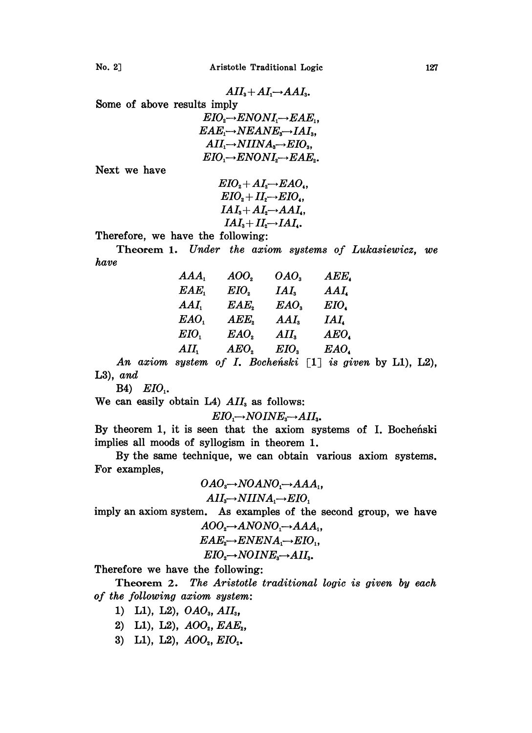$$
AII_{3}+AI_{1}\rightarrow AAI_{3}.
$$

8ome of above results imply

| $EIO \rightarrow ENONI \rightarrow EAE$ .                             |
|-----------------------------------------------------------------------|
| $EAE \rightarrow NEANE$ <sub>3</sub> $\rightarrow IAI$ <sub>3</sub> , |
| $AII_1 \rightarrow NIINA_3 \rightarrow EIO_3,$                        |
| $EIO \rightarrow ENONI \rightarrow EAE$ <sub>2</sub> .                |

Next we have

$$
EIO_{2} + AI_{2} \rightarrow EAO_{4},
$$
  
\n
$$
EIO_{2} + II_{2} \rightarrow EIO_{4},
$$
  
\n
$$
IAI_{3} + AI_{2} \rightarrow AAI_{4},
$$
  
\n
$$
IAI_{3} + II_{2} \rightarrow IAI_{4}.
$$

Therefore, we have the following:

Theorem 1. Under the axiom systems of Lukasiewicz, we have

| AAA,    | AOO <sub>2</sub> | OAO <sub>s</sub> | AEE,                              |
|---------|------------------|------------------|-----------------------------------|
| $EAE_1$ | EIO              | $IAI_{\rm s}$    | $AAI_{\scriptscriptstyle\bullet}$ |
| AAI     | EAE,             | EAO <sub>s</sub> | EIO.                              |
| EAO,    | AEE              | $AAI_{\rm s}$    | IAL.                              |
| EIO     | EAO,             | $AII_{3}$        | AEO,                              |
| $AII_1$ | AEO,             | EIO,             | EAO.                              |

An axiom system of I. Bocheński  $\lceil 1 \rceil$  is given by L1), L2), L3), and

 $B4$ )  $EIO_1$ .

We can easily obtain L4)  $AII<sub>s</sub>$  as follows:

 $EIO_1 \rightarrow NOINE_3 \rightarrow AII_3.$ 

By theorem 1, it is seen that the axiom systems of I. Bochefiski implies all moods of syllogism in theorem 1.

By the same technique, we can obtain various axiom systems. For examples,

$$
OAOs\rightarrow NOANOt\rightarrow AAAt,
$$

imply an axiom system. As examples of the second group, we have

$$
AII_s \rightarrow NIINA_1 \rightarrow EIO_1
$$
  
m. As examples of the  
 $AOO_s \rightarrow ANONO_1 \rightarrow AAA_1$ ,  
 $EAE_s \rightarrow ENENA_1 \rightarrow EIO_1$ ,  
 $EIO_s \rightarrow NOINE_s \rightarrow AII_s$ .

Therefore we have the following:

Theorem 2. The Aristotle traditional logic is given by each of the following axiom system:

- 1) L1), L2),  $OAO<sub>s</sub>$ , AII<sub>s</sub>,
- 2) L1), L2),  $AOO<sub>2</sub>, EAE<sub>2</sub>$ ,
- 3) L1), L2),  $AOO<sub>2</sub>$ ,  $EIO<sub>2</sub>$ .